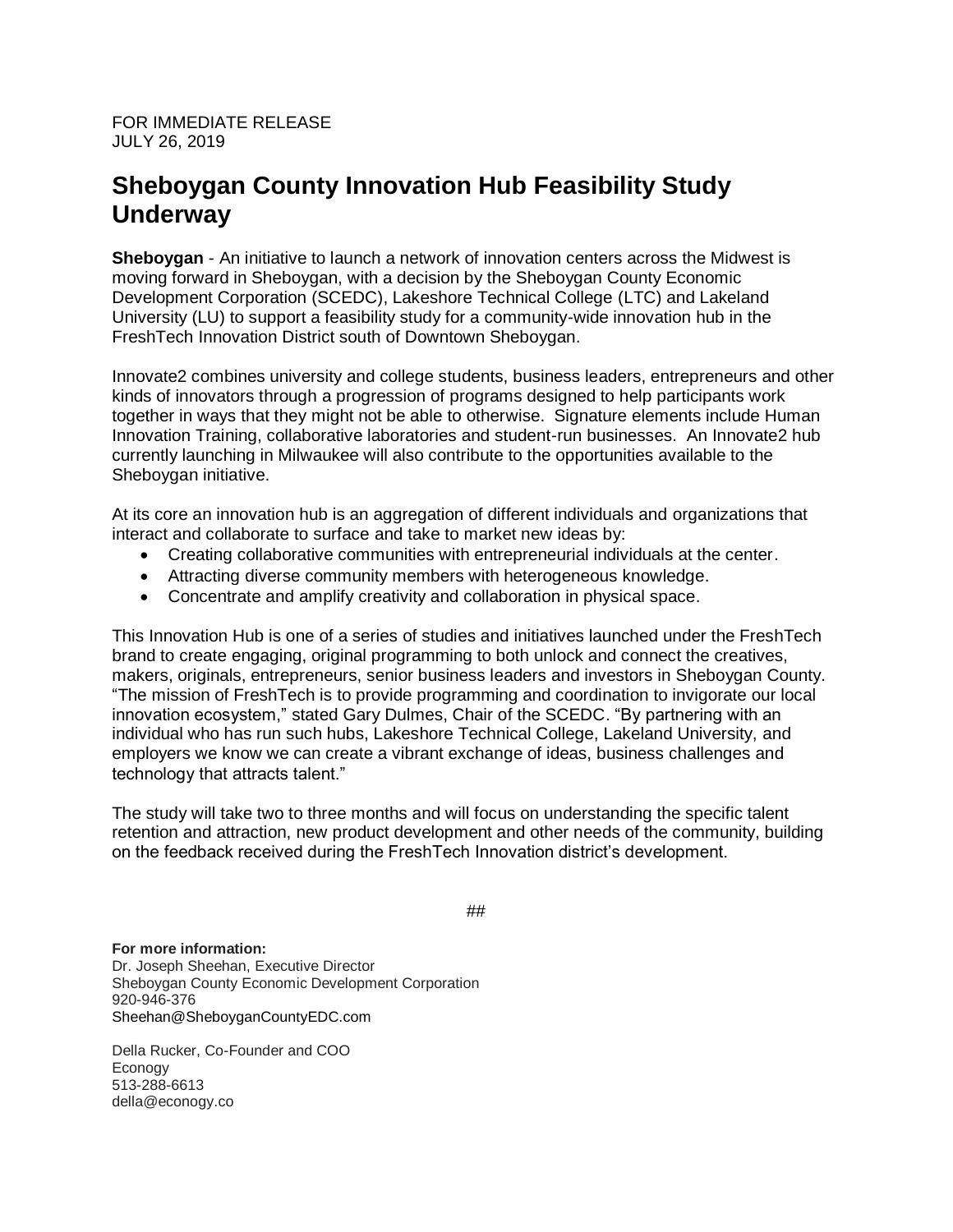FOR IMMEDIATE RELEASE JULY 26, 2019

## **Sheboygan County Innovation Hub Feasibility Study Underway**

**Sheboygan** - An initiative to launch a network of innovation centers across the Midwest is moving forward in Sheboygan, with a decision by the Sheboygan County Economic Development Corporation (SCEDC), Lakeshore Technical College (LTC) and Lakeland University (LU) to support a feasibility study for a community-wide innovation hub in the FreshTech Innovation District south of Downtown Sheboygan.

Innovate2 combines university and college students, business leaders, entrepreneurs and other kinds of innovators through a progression of programs designed to help participants work together in ways that they might not be able to otherwise. Signature elements include Human Innovation Training, collaborative laboratories and student-run businesses. An Innovate2 hub currently launching in Milwaukee will also contribute to the opportunities available to the Sheboygan initiative.

At its core an innovation hub is an aggregation of different individuals and organizations that interact and collaborate to surface and take to market new ideas by:

- Creating collaborative communities with entrepreneurial individuals at the center.
- Attracting diverse community members with heterogeneous knowledge.
- Concentrate and amplify creativity and collaboration in physical space.

This Innovation Hub is one of a series of studies and initiatives launched under the FreshTech brand to create engaging, original programming to both unlock and connect the creatives, makers, originals, entrepreneurs, senior business leaders and investors in Sheboygan County. "The mission of FreshTech is to provide programming and coordination to invigorate our local innovation ecosystem," stated Gary Dulmes, Chair of the SCEDC. "By partnering with an individual who has run such hubs, Lakeshore Technical College, Lakeland University, and employers we know we can create a vibrant exchange of ideas, business challenges and technology that attracts talent."

The study will take two to three months and will focus on understanding the specific talent retention and attraction, new product development and other needs of the community, building on the feedback received during the FreshTech Innovation district's development.

##

**For more information:** Dr. Joseph Sheehan, Executive Director Sheboygan County Economic Development Corporation 920-946-376 Sheehan@SheboyganCountyEDC.com

Della Rucker, Co-Founder and COO Econogy 513-288-6613 della@econogy.co